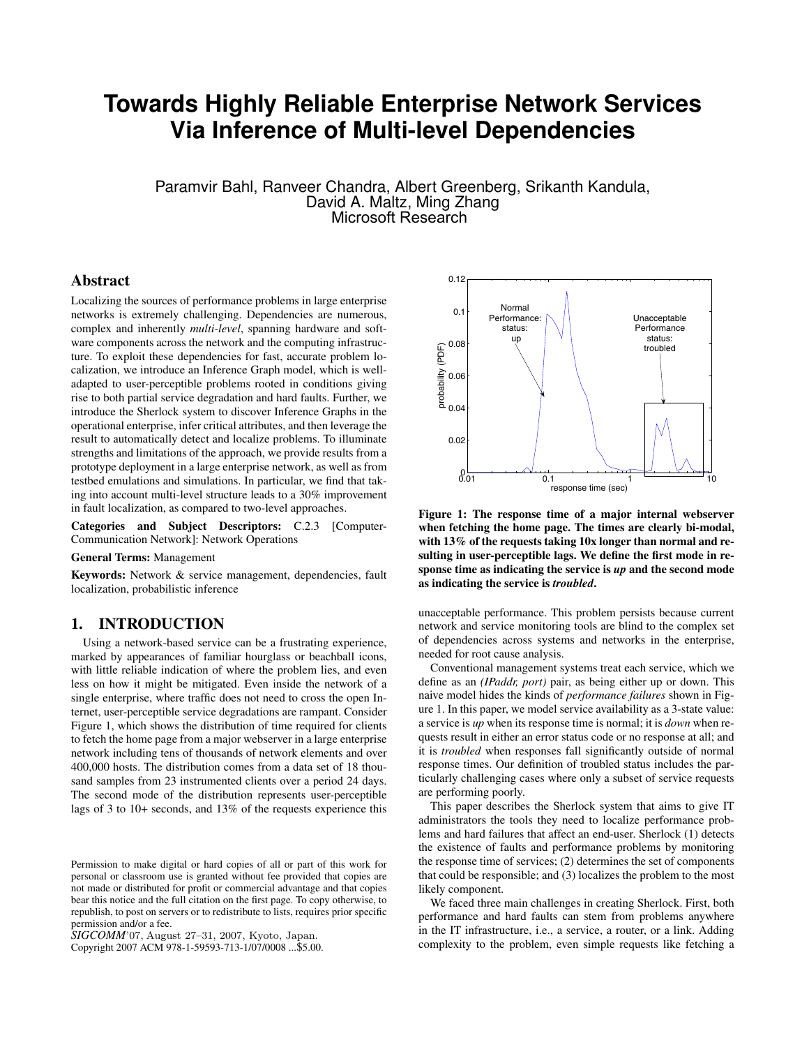# **Towards Highly Reliable Enterprise Network Services Via Inference of Multi-level Dependencies**

Paramvir Bahl, Ranveer Chandra, Albert Greenberg, Srikanth Kandula, David A. Maltz, Ming Zhang Microsoft Research

## Abstract

Localizing the sources of performance problems in large enterprise networks is extremely challenging. Dependencies are numerous, complex and inherently *multi-level*, spanning hardware and software components across the network and the computing infrastructure. To exploit these dependencies for fast, accurate problem localization, we introduce an Inference Graph model, which is welladapted to user-perceptible problems rooted in conditions giving rise to both partial service degradation and hard faults. Further, we introduce the Sherlock system to discover Inference Graphs in the operational enterprise, infer critical attributes, and then leverage the result to automatically detect and localize problems. To illuminate strengths and limitations of the approach, we provide results from a prototype deployment in a large enterprise network, as well as from testbed emulations and simulations. In particular, we find that taking into account multi-level structure leads to a 30% improvement in fault localization, as compared to two-level approaches.

Categories and Subject Descriptors: C.2.3 [Computer-Communication Network]: Network Operations

#### General Terms: Management

Keywords: Network & service management, dependencies, fault localization, probabilistic inference

## 1. INTRODUCTION

Using a network-based service can be a frustrating experience, marked by appearances of familiar hourglass or beachball icons, with little reliable indication of where the problem lies, and even less on how it might be mitigated. Even inside the network of a single enterprise, where traffic does not need to cross the open Internet, user-perceptible service degradations are rampant. Consider Figure 1, which shows the distribution of time required for clients to fetch the home page from a major webserver in a large enterprise network including tens of thousands of network elements and over 400,000 hosts. The distribution comes from a data set of 18 thousand samples from 23 instrumented clients over a period 24 days. The second mode of the distribution represents user-perceptible lags of 3 to 10+ seconds, and 13% of the requests experience this

*SIGCOMM*'07, August 27–31, 2007, Kyoto, Japan.

Copyright 2007 ACM 978-1-59593-713-1/07/0008 ...\$5.00.



Figure 1: The response time of a major internal webserver when fetching the home page. The times are clearly bi-modal, with 13% of the requests taking 10x longer than normal and resulting in user-perceptible lags. We define the first mode in response time as indicating the service is *up* and the second mode as indicating the service is *troubled*.

unacceptable performance. This problem persists because current network and service monitoring tools are blind to the complex set of dependencies across systems and networks in the enterprise, needed for root cause analysis.

Conventional management systems treat each service, which we define as an *(IPaddr, port)* pair, as being either up or down. This naive model hides the kinds of *performance failures* shown in Figure 1. In this paper, we model service availability as a 3-state value: a service is *up* when its response time is normal; it is *down* when requests result in either an error status code or no response at all; and it is *troubled* when responses fall significantly outside of normal response times. Our definition of troubled status includes the particularly challenging cases where only a subset of service requests are performing poorly.

This paper describes the Sherlock system that aims to give IT administrators the tools they need to localize performance problems and hard failures that affect an end-user. Sherlock (1) detects the existence of faults and performance problems by monitoring the response time of services; (2) determines the set of components that could be responsible; and (3) localizes the problem to the most likely component.

We faced three main challenges in creating Sherlock. First, both performance and hard faults can stem from problems anywhere in the IT infrastructure, i.e., a service, a router, or a link. Adding complexity to the problem, even simple requests like fetching a

Permission to make digital or hard copies of all or part of this work for personal or classroom use is granted without fee provided that copies are not made or distributed for profit or commercial advantage and that copies bear this notice and the full citation on the first page. To copy otherwise, to republish, to post on servers or to redistribute to lists, requires prior specific permission and/or a fee.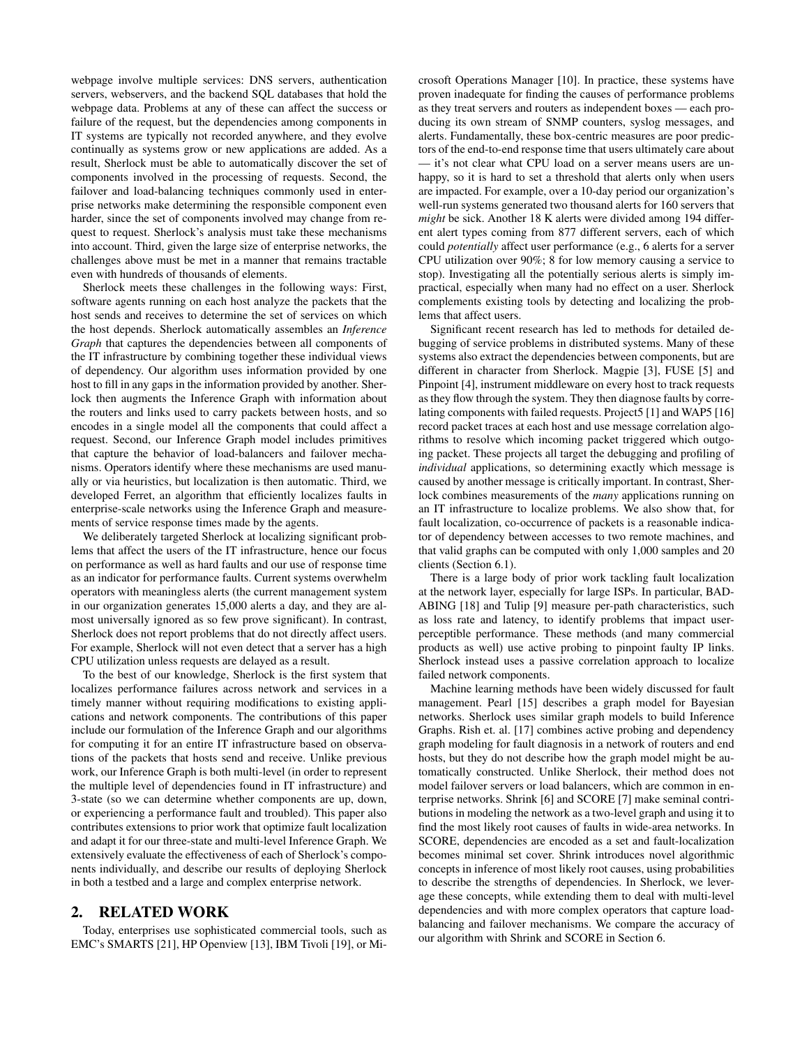webpage involve multiple services: DNS servers, authentication servers, webservers, and the backend SQL databases that hold the webpage data. Problems at any of these can affect the success or failure of the request, but the dependencies among components in IT systems are typically not recorded anywhere, and they evolve continually as systems grow or new applications are added. As a result, Sherlock must be able to automatically discover the set of components involved in the processing of requests. Second, the failover and load-balancing techniques commonly used in enterprise networks make determining the responsible component even harder, since the set of components involved may change from request to request. Sherlock's analysis must take these mechanisms into account. Third, given the large size of enterprise networks, the challenges above must be met in a manner that remains tractable even with hundreds of thousands of elements.

Sherlock meets these challenges in the following ways: First, software agents running on each host analyze the packets that the host sends and receives to determine the set of services on which the host depends. Sherlock automatically assembles an *Inference Graph* that captures the dependencies between all components of the IT infrastructure by combining together these individual views of dependency. Our algorithm uses information provided by one host to fill in any gaps in the information provided by another. Sherlock then augments the Inference Graph with information about the routers and links used to carry packets between hosts, and so encodes in a single model all the components that could affect a request. Second, our Inference Graph model includes primitives that capture the behavior of load-balancers and failover mechanisms. Operators identify where these mechanisms are used manually or via heuristics, but localization is then automatic. Third, we developed Ferret, an algorithm that efficiently localizes faults in enterprise-scale networks using the Inference Graph and measurements of service response times made by the agents.

We deliberately targeted Sherlock at localizing significant problems that affect the users of the IT infrastructure, hence our focus on performance as well as hard faults and our use of response time as an indicator for performance faults. Current systems overwhelm operators with meaningless alerts (the current management system in our organization generates 15,000 alerts a day, and they are almost universally ignored as so few prove significant). In contrast, Sherlock does not report problems that do not directly affect users. For example, Sherlock will not even detect that a server has a high CPU utilization unless requests are delayed as a result.

To the best of our knowledge, Sherlock is the first system that localizes performance failures across network and services in a timely manner without requiring modifications to existing applications and network components. The contributions of this paper include our formulation of the Inference Graph and our algorithms for computing it for an entire IT infrastructure based on observations of the packets that hosts send and receive. Unlike previous work, our Inference Graph is both multi-level (in order to represent the multiple level of dependencies found in IT infrastructure) and 3-state (so we can determine whether components are up, down, or experiencing a performance fault and troubled). This paper also contributes extensions to prior work that optimize fault localization and adapt it for our three-state and multi-level Inference Graph. We extensively evaluate the effectiveness of each of Sherlock's components individually, and describe our results of deploying Sherlock in both a testbed and a large and complex enterprise network.

## 2. RELATED WORK

Today, enterprises use sophisticated commercial tools, such as EMC's SMARTS [21], HP Openview [13], IBM Tivoli [19], or Microsoft Operations Manager [10]. In practice, these systems have proven inadequate for finding the causes of performance problems as they treat servers and routers as independent boxes — each producing its own stream of SNMP counters, syslog messages, and alerts. Fundamentally, these box-centric measures are poor predictors of the end-to-end response time that users ultimately care about — it's not clear what CPU load on a server means users are unhappy, so it is hard to set a threshold that alerts only when users are impacted. For example, over a 10-day period our organization's well-run systems generated two thousand alerts for 160 servers that *might* be sick. Another 18 K alerts were divided among 194 different alert types coming from 877 different servers, each of which could *potentially* affect user performance (e.g., 6 alerts for a server CPU utilization over 90%; 8 for low memory causing a service to stop). Investigating all the potentially serious alerts is simply impractical, especially when many had no effect on a user. Sherlock complements existing tools by detecting and localizing the problems that affect users.

Significant recent research has led to methods for detailed debugging of service problems in distributed systems. Many of these systems also extract the dependencies between components, but are different in character from Sherlock. Magpie [3], FUSE [5] and Pinpoint [4], instrument middleware on every host to track requests as they flow through the system. They then diagnose faults by correlating components with failed requests. Project5 [1] and WAP5 [16] record packet traces at each host and use message correlation algorithms to resolve which incoming packet triggered which outgoing packet. These projects all target the debugging and profiling of *individual* applications, so determining exactly which message is caused by another message is critically important. In contrast, Sherlock combines measurements of the *many* applications running on an IT infrastructure to localize problems. We also show that, for fault localization, co-occurrence of packets is a reasonable indicator of dependency between accesses to two remote machines, and that valid graphs can be computed with only 1,000 samples and 20 clients (Section 6.1).

There is a large body of prior work tackling fault localization at the network layer, especially for large ISPs. In particular, BAD-ABING [18] and Tulip [9] measure per-path characteristics, such as loss rate and latency, to identify problems that impact userperceptible performance. These methods (and many commercial products as well) use active probing to pinpoint faulty IP links. Sherlock instead uses a passive correlation approach to localize failed network components.

Machine learning methods have been widely discussed for fault management. Pearl [15] describes a graph model for Bayesian networks. Sherlock uses similar graph models to build Inference Graphs. Rish et. al. [17] combines active probing and dependency graph modeling for fault diagnosis in a network of routers and end hosts, but they do not describe how the graph model might be automatically constructed. Unlike Sherlock, their method does not model failover servers or load balancers, which are common in enterprise networks. Shrink [6] and SCORE [7] make seminal contributions in modeling the network as a two-level graph and using it to find the most likely root causes of faults in wide-area networks. In SCORE, dependencies are encoded as a set and fault-localization becomes minimal set cover. Shrink introduces novel algorithmic concepts in inference of most likely root causes, using probabilities to describe the strengths of dependencies. In Sherlock, we leverage these concepts, while extending them to deal with multi-level dependencies and with more complex operators that capture loadbalancing and failover mechanisms. We compare the accuracy of our algorithm with Shrink and SCORE in Section 6.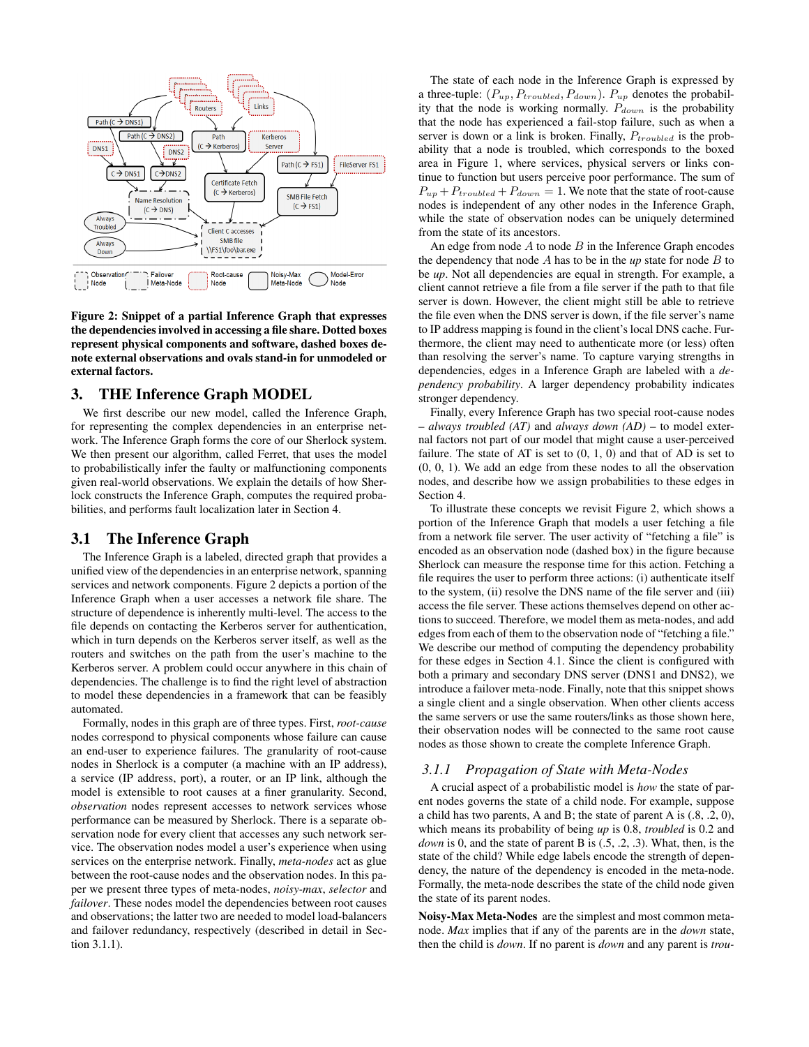

Figure 2: Snippet of a partial Inference Graph that expresses the dependencies involved in accessing a file share. Dotted boxes represent physical components and software, dashed boxes denote external observations and ovals stand-in for unmodeled or external factors.

## 3. THE Inference Graph MODEL

We first describe our new model, called the Inference Graph, for representing the complex dependencies in an enterprise network. The Inference Graph forms the core of our Sherlock system. We then present our algorithm, called Ferret, that uses the model to probabilistically infer the faulty or malfunctioning components given real-world observations. We explain the details of how Sherlock constructs the Inference Graph, computes the required probabilities, and performs fault localization later in Section 4.

## 3.1 The Inference Graph

The Inference Graph is a labeled, directed graph that provides a unified view of the dependencies in an enterprise network, spanning services and network components. Figure 2 depicts a portion of the Inference Graph when a user accesses a network file share. The structure of dependence is inherently multi-level. The access to the file depends on contacting the Kerberos server for authentication, which in turn depends on the Kerberos server itself, as well as the routers and switches on the path from the user's machine to the Kerberos server. A problem could occur anywhere in this chain of dependencies. The challenge is to find the right level of abstraction to model these dependencies in a framework that can be feasibly automated.

Formally, nodes in this graph are of three types. First, *root-cause* nodes correspond to physical components whose failure can cause an end-user to experience failures. The granularity of root-cause nodes in Sherlock is a computer (a machine with an IP address), a service (IP address, port), a router, or an IP link, although the model is extensible to root causes at a finer granularity. Second, *observation* nodes represent accesses to network services whose performance can be measured by Sherlock. There is a separate observation node for every client that accesses any such network service. The observation nodes model a user's experience when using services on the enterprise network. Finally, *meta-nodes* act as glue between the root-cause nodes and the observation nodes. In this paper we present three types of meta-nodes, *noisy-max*, *selector* and *failover*. These nodes model the dependencies between root causes and observations; the latter two are needed to model load-balancers and failover redundancy, respectively (described in detail in Section 3.1.1).

The state of each node in the Inference Graph is expressed by a three-tuple:  $(P_{up}, P_{troubled}, P_{down})$ .  $P_{up}$  denotes the probability that the node is working normally.  $P_{down}$  is the probability that the node has experienced a fail-stop failure, such as when a server is down or a link is broken. Finally,  $P_{troubled}$  is the probability that a node is troubled, which corresponds to the boxed area in Figure 1, where services, physical servers or links continue to function but users perceive poor performance. The sum of  $P_{up} + P_{troubled} + P_{down} = 1$ . We note that the state of root-cause nodes is independent of any other nodes in the Inference Graph, while the state of observation nodes can be uniquely determined from the state of its ancestors.

An edge from node  $A$  to node  $B$  in the Inference Graph encodes the dependency that node  $A$  has to be in the  $up$  state for node  $B$  to be *up*. Not all dependencies are equal in strength. For example, a client cannot retrieve a file from a file server if the path to that file server is down. However, the client might still be able to retrieve the file even when the DNS server is down, if the file server's name to IP address mapping is found in the client's local DNS cache. Furthermore, the client may need to authenticate more (or less) often than resolving the server's name. To capture varying strengths in dependencies, edges in a Inference Graph are labeled with a *dependency probability*. A larger dependency probability indicates stronger dependency.

Finally, every Inference Graph has two special root-cause nodes – *always troubled (AT)* and *always down (AD)* – to model external factors not part of our model that might cause a user-perceived failure. The state of AT is set to  $(0, 1, 0)$  and that of AD is set to (0, 0, 1). We add an edge from these nodes to all the observation nodes, and describe how we assign probabilities to these edges in Section 4.

To illustrate these concepts we revisit Figure 2, which shows a portion of the Inference Graph that models a user fetching a file from a network file server. The user activity of "fetching a file" is encoded as an observation node (dashed box) in the figure because Sherlock can measure the response time for this action. Fetching a file requires the user to perform three actions: (i) authenticate itself to the system, (ii) resolve the DNS name of the file server and (iii) access the file server. These actions themselves depend on other actions to succeed. Therefore, we model them as meta-nodes, and add edges from each of them to the observation node of "fetching a file." We describe our method of computing the dependency probability for these edges in Section 4.1. Since the client is configured with both a primary and secondary DNS server (DNS1 and DNS2), we introduce a failover meta-node. Finally, note that this snippet shows a single client and a single observation. When other clients access the same servers or use the same routers/links as those shown here, their observation nodes will be connected to the same root cause nodes as those shown to create the complete Inference Graph.

#### *3.1.1 Propagation of State with Meta-Nodes*

A crucial aspect of a probabilistic model is *how* the state of parent nodes governs the state of a child node. For example, suppose a child has two parents, A and B; the state of parent A is (.8, .2, 0), which means its probability of being *up* is 0.8, *troubled* is 0.2 and *down* is 0, and the state of parent B is  $(.5, .2, .3)$ . What, then, is the state of the child? While edge labels encode the strength of dependency, the nature of the dependency is encoded in the meta-node. Formally, the meta-node describes the state of the child node given the state of its parent nodes.

Noisy-Max Meta-Nodes are the simplest and most common metanode. *Max* implies that if any of the parents are in the *down* state, then the child is *down*. If no parent is *down* and any parent is *trou-*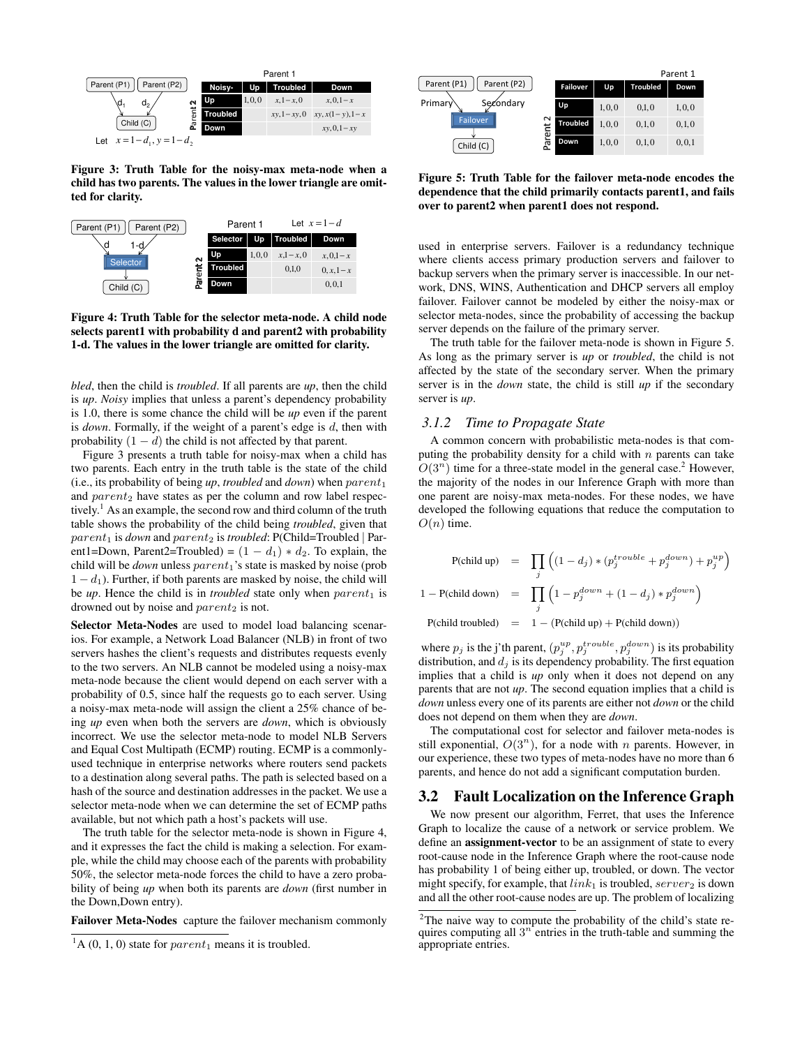

Figure 3: Truth Table for the noisy-max meta-node when a child has two parents. The values in the lower triangle are omitted for clarity.



Figure 4: Truth Table for the selector meta-node. A child node selects parent1 with probability d and parent2 with probability 1-d. The values in the lower triangle are omitted for clarity.

*bled*, then the child is *troubled*. If all parents are *up*, then the child is *up*. *Noisy* implies that unless a parent's dependency probability is 1.0, there is some chance the child will be *up* even if the parent is *down*. Formally, if the weight of a parent's edge is d, then with probability  $(1 - d)$  the child is not affected by that parent.

Figure 3 presents a truth table for noisy-max when a child has two parents. Each entry in the truth table is the state of the child (i.e., its probability of being  $up$ , *troubled* and *down*) when  $parent_1$ and  $parent_2$  have states as per the column and row label respectively.<sup>1</sup> As an example, the second row and third column of the truth table shows the probability of the child being *troubled*, given that parent<sub>1</sub> is *down* and parent<sub>2</sub> is *troubled*: P(Child=Troubled | Parent1=Down, Parent2=Troubled) =  $(1 - d_1) * d_2$ . To explain, the child will be *down* unless parent<sub>1</sub>'s state is masked by noise (prob  $1 - d_1$ ). Further, if both parents are masked by noise, the child will be *up*. Hence the child is in *troubled* state only when  $parent_1$  is drowned out by noise and  $parent_2$  is not.

Selector Meta-Nodes are used to model load balancing scenarios. For example, a Network Load Balancer (NLB) in front of two servers hashes the client's requests and distributes requests evenly to the two servers. An NLB cannot be modeled using a noisy-max meta-node because the client would depend on each server with a probability of 0.5, since half the requests go to each server. Using a noisy-max meta-node will assign the client a 25% chance of being *up* even when both the servers are *down*, which is obviously incorrect. We use the selector meta-node to model NLB Servers and Equal Cost Multipath (ECMP) routing. ECMP is a commonlyused technique in enterprise networks where routers send packets to a destination along several paths. The path is selected based on a hash of the source and destination addresses in the packet. We use a selector meta-node when we can determine the set of ECMP paths available, but not which path a host's packets will use.

The truth table for the selector meta-node is shown in Figure 4, and it expresses the fact the child is making a selection. For example, while the child may choose each of the parents with probability 50%, the selector meta-node forces the child to have a zero probability of being *up* when both its parents are *down* (first number in the Down,Down entry).

Failover Meta-Nodes capture the failover mechanism commonly

|                                                                                    |                                             |                 | Parent 1 |                 |         |
|------------------------------------------------------------------------------------|---------------------------------------------|-----------------|----------|-----------------|---------|
| Parent (P1)<br>Parent (P2)<br>Primary<br>Secondary<br><b>Failover</b><br>Child (C) |                                             | <b>Failover</b> | Up       | <b>Troubled</b> | Down    |
|                                                                                    |                                             | Up              | 1, 0, 0  | 0,1,0           | 1, 0, 0 |
|                                                                                    | $\sim$<br>Ξ<br>$\overline{\mathtt{\omega}}$ | <b>Troubled</b> | 1,0,0    | 0, 1, 0         | 0,1,0   |
|                                                                                    | π<br>۵.                                     | Down            | 1, 0, 0  | 0, 1, 0         | 0, 0, 1 |

Figure 5: Truth Table for the failover meta-node encodes the dependence that the child primarily contacts parent1, and fails over to parent2 when parent1 does not respond.

used in enterprise servers. Failover is a redundancy technique where clients access primary production servers and failover to backup servers when the primary server is inaccessible. In our network, DNS, WINS, Authentication and DHCP servers all employ failover. Failover cannot be modeled by either the noisy-max or selector meta-nodes, since the probability of accessing the backup server depends on the failure of the primary server.

The truth table for the failover meta-node is shown in Figure 5. As long as the primary server is *up* or *troubled*, the child is not affected by the state of the secondary server. When the primary server is in the *down* state, the child is still *up* if the secondary server is *up*.

## *3.1.2 Time to Propagate State*

A common concern with probabilistic meta-nodes is that computing the probability density for a child with  $n$  parents can take  $O(3<sup>n</sup>)$  time for a three-state model in the general case.<sup>2</sup> However, the majority of the nodes in our Inference Graph with more than one parent are noisy-max meta-nodes. For these nodes, we have developed the following equations that reduce the computation to  $O(n)$  time.

$$
P(\text{child up}) = \prod_{j} \left( (1 - d_j) * (p_j^{trouble} + p_j^{down}) + p_j^{up} \right)
$$
  

$$
1 - P(\text{child down}) = \prod_{j} \left( 1 - p_j^{down} + (1 - d_j) * p_j^{down} \right)
$$
  

$$
P(\text{child troubleled}) = 1 - (P(\text{child up}) + P(\text{child down}))
$$

where  $p_j$  is the j'th parent,  $(p_i^{up}, p_j^{trouble}, p_j^{down})$  is its probability distribution, and  $d_j$  is its dependency probability. The first equation implies that a child is *up* only when it does not depend on any parents that are not *up*. The second equation implies that a child is *down* unless every one of its parents are either not *down* or the child does not depend on them when they are *down*.

The computational cost for selector and failover meta-nodes is still exponential,  $O(3^n)$ , for a node with n parents. However, in our experience, these two types of meta-nodes have no more than 6 parents, and hence do not add a significant computation burden.

## 3.2 Fault Localization on the Inference Graph

We now present our algorithm, Ferret, that uses the Inference Graph to localize the cause of a network or service problem. We define an assignment-vector to be an assignment of state to every root-cause node in the Inference Graph where the root-cause node has probability 1 of being either up, troubled, or down. The vector might specify, for example, that  $link_1$  is troubled, server<sub>2</sub> is down and all the other root-cause nodes are up. The problem of localizing

 ${}^{1}$ A (0, 1, 0) state for *parent*<sub>1</sub> means it is troubled.

<sup>&</sup>lt;sup>2</sup>The naive way to compute the probability of the child's state requires computing all  $3<sup>n</sup>$  entries in the truth-table and summing the appropriate entries.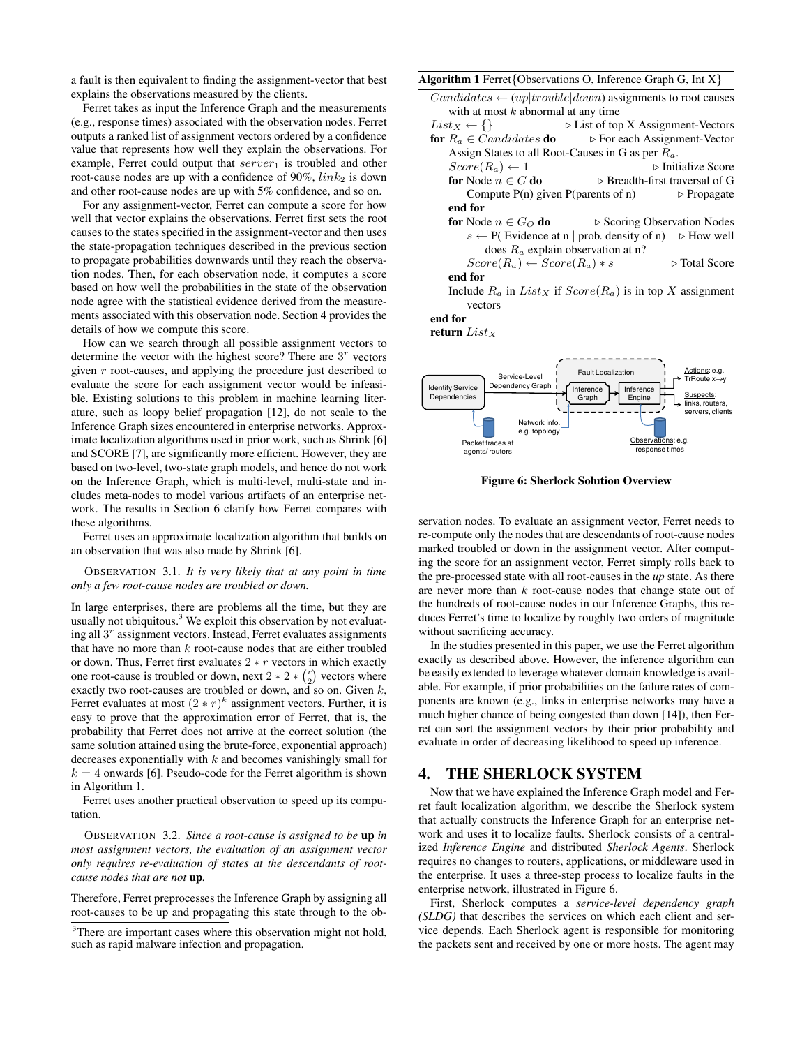a fault is then equivalent to finding the assignment-vector that best explains the observations measured by the clients.

Ferret takes as input the Inference Graph and the measurements (e.g., response times) associated with the observation nodes. Ferret outputs a ranked list of assignment vectors ordered by a confidence value that represents how well they explain the observations. For example, Ferret could output that  $server_1$  is troubled and other root-cause nodes are up with a confidence of  $90\%$ ,  $link_2$  is down and other root-cause nodes are up with 5% confidence, and so on.

For any assignment-vector, Ferret can compute a score for how well that vector explains the observations. Ferret first sets the root causes to the states specified in the assignment-vector and then uses the state-propagation techniques described in the previous section to propagate probabilities downwards until they reach the observation nodes. Then, for each observation node, it computes a score based on how well the probabilities in the state of the observation node agree with the statistical evidence derived from the measurements associated with this observation node. Section 4 provides the details of how we compute this score.

How can we search through all possible assignment vectors to determine the vector with the highest score? There are  $3<sup>r</sup>$  vectors given  $r$  root-causes, and applying the procedure just described to evaluate the score for each assignment vector would be infeasible. Existing solutions to this problem in machine learning literature, such as loopy belief propagation [12], do not scale to the Inference Graph sizes encountered in enterprise networks. Approximate localization algorithms used in prior work, such as Shrink [6] and SCORE [7], are significantly more efficient. However, they are based on two-level, two-state graph models, and hence do not work on the Inference Graph, which is multi-level, multi-state and includes meta-nodes to model various artifacts of an enterprise network. The results in Section 6 clarify how Ferret compares with these algorithms.

Ferret uses an approximate localization algorithm that builds on an observation that was also made by Shrink [6].

OBSERVATION 3.1. *It is very likely that at any point in time only a few root-cause nodes are troubled or down.*

In large enterprises, there are problems all the time, but they are usually not ubiquitous.<sup>3</sup> We exploit this observation by not evaluating all  $3<sup>r</sup>$  assignment vectors. Instead, Ferret evaluates assignments that have no more than  $k$  root-cause nodes that are either troubled or down. Thus, Ferret first evaluates  $2 * r$  vectors in which exactly one root-cause is troubled or down, next  $2 \times 2 \times {r \choose 2}$  vectors where exactly two root-causes are troubled or down, and so on. Given k, Ferret evaluates at most  $(2 * r)^k$  assignment vectors. Further, it is easy to prove that the approximation error of Ferret, that is, the probability that Ferret does not arrive at the correct solution (the same solution attained using the brute-force, exponential approach) decreases exponentially with  $k$  and becomes vanishingly small for  $k = 4$  onwards [6]. Pseudo-code for the Ferret algorithm is shown in Algorithm 1.

Ferret uses another practical observation to speed up its computation.

OBSERVATION 3.2. *Since a root-cause is assigned to be* up *in most assignment vectors, the evaluation of an assignment vector only requires re-evaluation of states at the descendants of rootcause nodes that are not* up*.*

Therefore, Ferret preprocesses the Inference Graph by assigning all root-causes to be up and propagating this state through to the ob-

## Algorithm 1 Ferret{Observations O, Inference Graph G, Int X}





Figure 6: Sherlock Solution Overview

servation nodes. To evaluate an assignment vector, Ferret needs to re-compute only the nodes that are descendants of root-cause nodes marked troubled or down in the assignment vector. After computing the score for an assignment vector, Ferret simply rolls back to the pre-processed state with all root-causes in the *up* state. As there are never more than k root-cause nodes that change state out of the hundreds of root-cause nodes in our Inference Graphs, this reduces Ferret's time to localize by roughly two orders of magnitude without sacrificing accuracy.

In the studies presented in this paper, we use the Ferret algorithm exactly as described above. However, the inference algorithm can be easily extended to leverage whatever domain knowledge is available. For example, if prior probabilities on the failure rates of components are known (e.g., links in enterprise networks may have a much higher chance of being congested than down [14]), then Ferret can sort the assignment vectors by their prior probability and evaluate in order of decreasing likelihood to speed up inference.

# 4. THE SHERLOCK SYSTEM

Now that we have explained the Inference Graph model and Ferret fault localization algorithm, we describe the Sherlock system that actually constructs the Inference Graph for an enterprise network and uses it to localize faults. Sherlock consists of a centralized *Inference Engine* and distributed *Sherlock Agents*. Sherlock requires no changes to routers, applications, or middleware used in the enterprise. It uses a three-step process to localize faults in the enterprise network, illustrated in Figure 6.

First, Sherlock computes a *service-level dependency graph (SLDG)* that describes the services on which each client and service depends. Each Sherlock agent is responsible for monitoring the packets sent and received by one or more hosts. The agent may

<sup>&</sup>lt;sup>3</sup>There are important cases where this observation might not hold, such as rapid malware infection and propagation.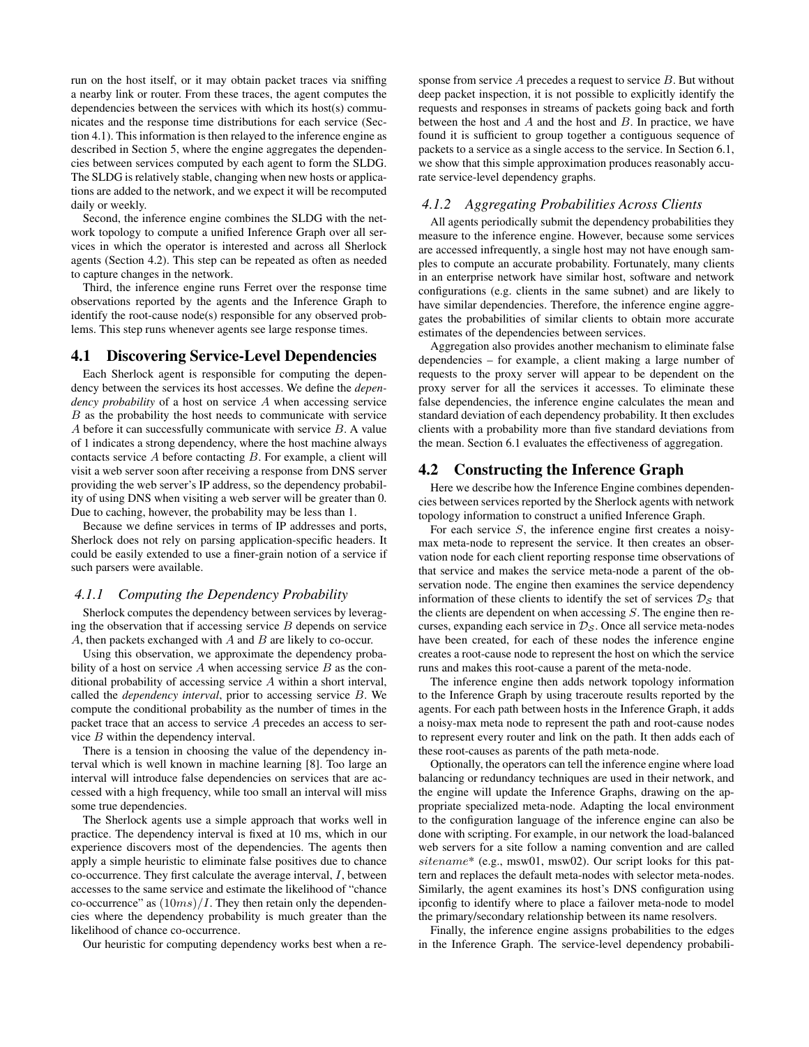run on the host itself, or it may obtain packet traces via sniffing a nearby link or router. From these traces, the agent computes the dependencies between the services with which its host(s) communicates and the response time distributions for each service (Section 4.1). This information is then relayed to the inference engine as described in Section 5, where the engine aggregates the dependencies between services computed by each agent to form the SLDG. The SLDG is relatively stable, changing when new hosts or applications are added to the network, and we expect it will be recomputed daily or weekly.

Second, the inference engine combines the SLDG with the network topology to compute a unified Inference Graph over all services in which the operator is interested and across all Sherlock agents (Section 4.2). This step can be repeated as often as needed to capture changes in the network.

Third, the inference engine runs Ferret over the response time observations reported by the agents and the Inference Graph to identify the root-cause node(s) responsible for any observed problems. This step runs whenever agents see large response times.

## 4.1 Discovering Service-Level Dependencies

Each Sherlock agent is responsible for computing the dependency between the services its host accesses. We define the *dependency probability* of a host on service A when accessing service B as the probability the host needs to communicate with service A before it can successfully communicate with service B. A value of 1 indicates a strong dependency, where the host machine always contacts service  $A$  before contacting  $B$ . For example, a client will visit a web server soon after receiving a response from DNS server providing the web server's IP address, so the dependency probability of using DNS when visiting a web server will be greater than 0. Due to caching, however, the probability may be less than 1.

Because we define services in terms of IP addresses and ports, Sherlock does not rely on parsing application-specific headers. It could be easily extended to use a finer-grain notion of a service if such parsers were available.

### *4.1.1 Computing the Dependency Probability*

Sherlock computes the dependency between services by leveraging the observation that if accessing service  $B$  depends on service A, then packets exchanged with  $A$  and  $B$  are likely to co-occur.

Using this observation, we approximate the dependency probability of a host on service  $A$  when accessing service  $B$  as the conditional probability of accessing service A within a short interval, called the *dependency interval*, prior to accessing service B. We compute the conditional probability as the number of times in the packet trace that an access to service  $A$  precedes an access to service B within the dependency interval.

There is a tension in choosing the value of the dependency interval which is well known in machine learning [8]. Too large an interval will introduce false dependencies on services that are accessed with a high frequency, while too small an interval will miss some true dependencies.

The Sherlock agents use a simple approach that works well in practice. The dependency interval is fixed at 10 ms, which in our experience discovers most of the dependencies. The agents then apply a simple heuristic to eliminate false positives due to chance co-occurrence. They first calculate the average interval,  $I$ , between accesses to the same service and estimate the likelihood of "chance co-occurrence" as  $(10ms)/I$ . They then retain only the dependencies where the dependency probability is much greater than the likelihood of chance co-occurrence.

Our heuristic for computing dependency works best when a re-

sponse from service  $A$  precedes a request to service  $B$ . But without deep packet inspection, it is not possible to explicitly identify the requests and responses in streams of packets going back and forth between the host and  $A$  and the host and  $B$ . In practice, we have found it is sufficient to group together a contiguous sequence of packets to a service as a single access to the service. In Section 6.1, we show that this simple approximation produces reasonably accurate service-level dependency graphs.

#### *4.1.2 Aggregating Probabilities Across Clients*

All agents periodically submit the dependency probabilities they measure to the inference engine. However, because some services are accessed infrequently, a single host may not have enough samples to compute an accurate probability. Fortunately, many clients in an enterprise network have similar host, software and network configurations (e.g. clients in the same subnet) and are likely to have similar dependencies. Therefore, the inference engine aggregates the probabilities of similar clients to obtain more accurate estimates of the dependencies between services.

Aggregation also provides another mechanism to eliminate false dependencies – for example, a client making a large number of requests to the proxy server will appear to be dependent on the proxy server for all the services it accesses. To eliminate these false dependencies, the inference engine calculates the mean and standard deviation of each dependency probability. It then excludes clients with a probability more than five standard deviations from the mean. Section 6.1 evaluates the effectiveness of aggregation.

## 4.2 Constructing the Inference Graph

Here we describe how the Inference Engine combines dependencies between services reported by the Sherlock agents with network topology information to construct a unified Inference Graph.

For each service  $S$ , the inference engine first creates a noisymax meta-node to represent the service. It then creates an observation node for each client reporting response time observations of that service and makes the service meta-node a parent of the observation node. The engine then examines the service dependency information of these clients to identify the set of services  $\mathcal{D}_\mathcal{S}$  that the clients are dependent on when accessing  $S$ . The engine then recurses, expanding each service in  $\mathcal{D}_{\mathcal{S}}$ . Once all service meta-nodes have been created, for each of these nodes the inference engine creates a root-cause node to represent the host on which the service runs and makes this root-cause a parent of the meta-node.

The inference engine then adds network topology information to the Inference Graph by using traceroute results reported by the agents. For each path between hosts in the Inference Graph, it adds a noisy-max meta node to represent the path and root-cause nodes to represent every router and link on the path. It then adds each of these root-causes as parents of the path meta-node.

Optionally, the operators can tell the inference engine where load balancing or redundancy techniques are used in their network, and the engine will update the Inference Graphs, drawing on the appropriate specialized meta-node. Adapting the local environment to the configuration language of the inference engine can also be done with scripting. For example, in our network the load-balanced web servers for a site follow a naming convention and are called sitename\* (e.g., msw01, msw02). Our script looks for this pattern and replaces the default meta-nodes with selector meta-nodes. Similarly, the agent examines its host's DNS configuration using ipconfig to identify where to place a failover meta-node to model the primary/secondary relationship between its name resolvers.

Finally, the inference engine assigns probabilities to the edges in the Inference Graph. The service-level dependency probabili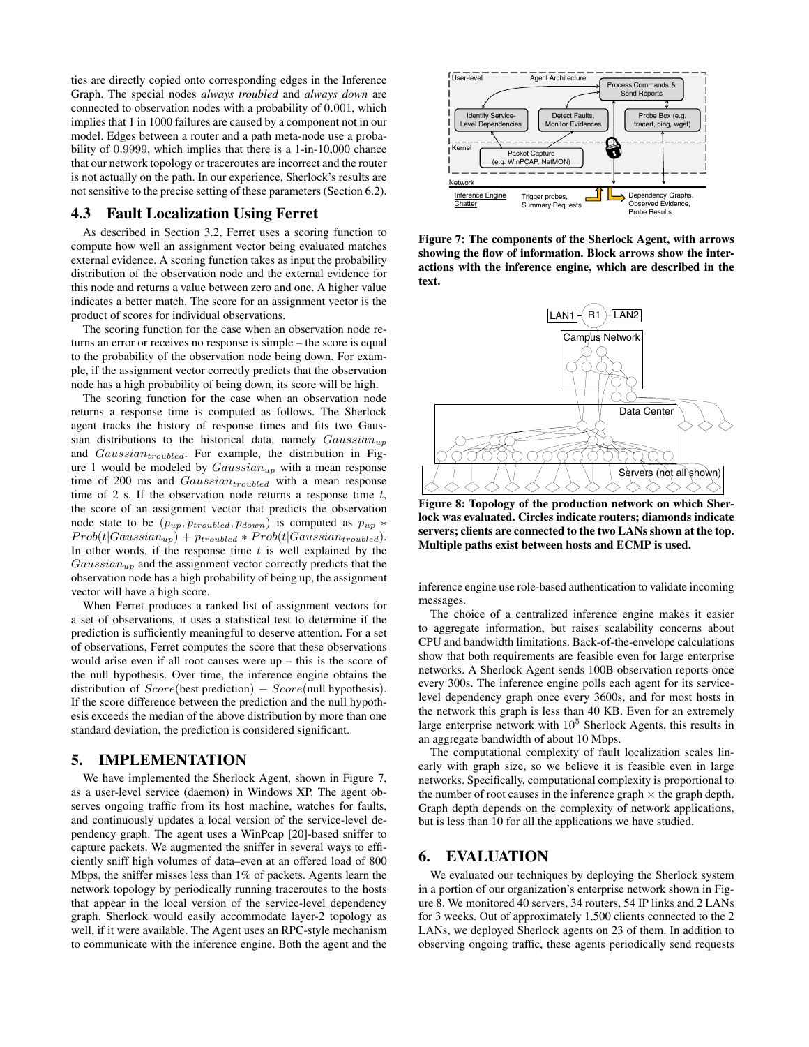ties are directly copied onto corresponding edges in the Inference Graph. The special nodes *always troubled* and *always down* are connected to observation nodes with a probability of 0.001, which implies that 1 in 1000 failures are caused by a component not in our model. Edges between a router and a path meta-node use a probability of 0.9999, which implies that there is a 1-in-10,000 chance that our network topology or traceroutes are incorrect and the router is not actually on the path. In our experience, Sherlock's results are not sensitive to the precise setting of these parameters (Section 6.2).

### 4.3 Fault Localization Using Ferret

As described in Section 3.2, Ferret uses a scoring function to compute how well an assignment vector being evaluated matches external evidence. A scoring function takes as input the probability distribution of the observation node and the external evidence for this node and returns a value between zero and one. A higher value indicates a better match. The score for an assignment vector is the product of scores for individual observations.

The scoring function for the case when an observation node returns an error or receives no response is simple – the score is equal to the probability of the observation node being down. For example, if the assignment vector correctly predicts that the observation node has a high probability of being down, its score will be high.

The scoring function for the case when an observation node returns a response time is computed as follows. The Sherlock agent tracks the history of response times and fits two Gaussian distributions to the historical data, namely  $Gaussian_{up}$ and  $Gaussian_{troubled}$ . For example, the distribution in Figure 1 would be modeled by  $Gaussian_{up}$  with a mean response time of 200 ms and  $Gaussian_{troubled}$  with a mean response time of 2 s. If the observation node returns a response time  $t$ , the score of an assignment vector that predicts the observation node state to be  $(p_{up}, p_{troubled}, p_{down})$  is computed as  $p_{up}$  \*  $Prob(t|Gaussian_{up}) + p_{troubled} * Prob(t|Gaussian_{troubled}).$ In other words, if the response time  $t$  is well explained by the  $Gaussian_{up}$  and the assignment vector correctly predicts that the observation node has a high probability of being up, the assignment vector will have a high score.

When Ferret produces a ranked list of assignment vectors for a set of observations, it uses a statistical test to determine if the prediction is sufficiently meaningful to deserve attention. For a set of observations, Ferret computes the score that these observations would arise even if all root causes were up – this is the score of the null hypothesis. Over time, the inference engine obtains the distribution of  $Score(best prediction) - Score(null hypothesis)$ . If the score difference between the prediction and the null hypothesis exceeds the median of the above distribution by more than one standard deviation, the prediction is considered significant.

## 5. IMPLEMENTATION

We have implemented the Sherlock Agent, shown in Figure 7, as a user-level service (daemon) in Windows XP. The agent observes ongoing traffic from its host machine, watches for faults, and continuously updates a local version of the service-level dependency graph. The agent uses a WinPcap [20]-based sniffer to capture packets. We augmented the sniffer in several ways to efficiently sniff high volumes of data–even at an offered load of 800 Mbps, the sniffer misses less than 1% of packets. Agents learn the network topology by periodically running traceroutes to the hosts that appear in the local version of the service-level dependency graph. Sherlock would easily accommodate layer-2 topology as well, if it were available. The Agent uses an RPC-style mechanism to communicate with the inference engine. Both the agent and the



Figure 7: The components of the Sherlock Agent, with arrows showing the flow of information. Block arrows show the interactions with the inference engine, which are described in the text.



Figure 8: Topology of the production network on which Sherlock was evaluated. Circles indicate routers; diamonds indicate servers; clients are connected to the two LANs shown at the top. Multiple paths exist between hosts and ECMP is used.

inference engine use role-based authentication to validate incoming messages.

The choice of a centralized inference engine makes it easier to aggregate information, but raises scalability concerns about CPU and bandwidth limitations. Back-of-the-envelope calculations show that both requirements are feasible even for large enterprise networks. A Sherlock Agent sends 100B observation reports once every 300s. The inference engine polls each agent for its servicelevel dependency graph once every 3600s, and for most hosts in the network this graph is less than 40 KB. Even for an extremely large enterprise network with  $10<sup>5</sup>$  Sherlock Agents, this results in an aggregate bandwidth of about 10 Mbps.

The computational complexity of fault localization scales linearly with graph size, so we believe it is feasible even in large networks. Specifically, computational complexity is proportional to the number of root causes in the inference graph  $\times$  the graph depth. Graph depth depends on the complexity of network applications, but is less than 10 for all the applications we have studied.

## 6. EVALUATION

We evaluated our techniques by deploying the Sherlock system in a portion of our organization's enterprise network shown in Figure 8. We monitored 40 servers, 34 routers, 54 IP links and 2 LANs for 3 weeks. Out of approximately 1,500 clients connected to the 2 LANs, we deployed Sherlock agents on 23 of them. In addition to observing ongoing traffic, these agents periodically send requests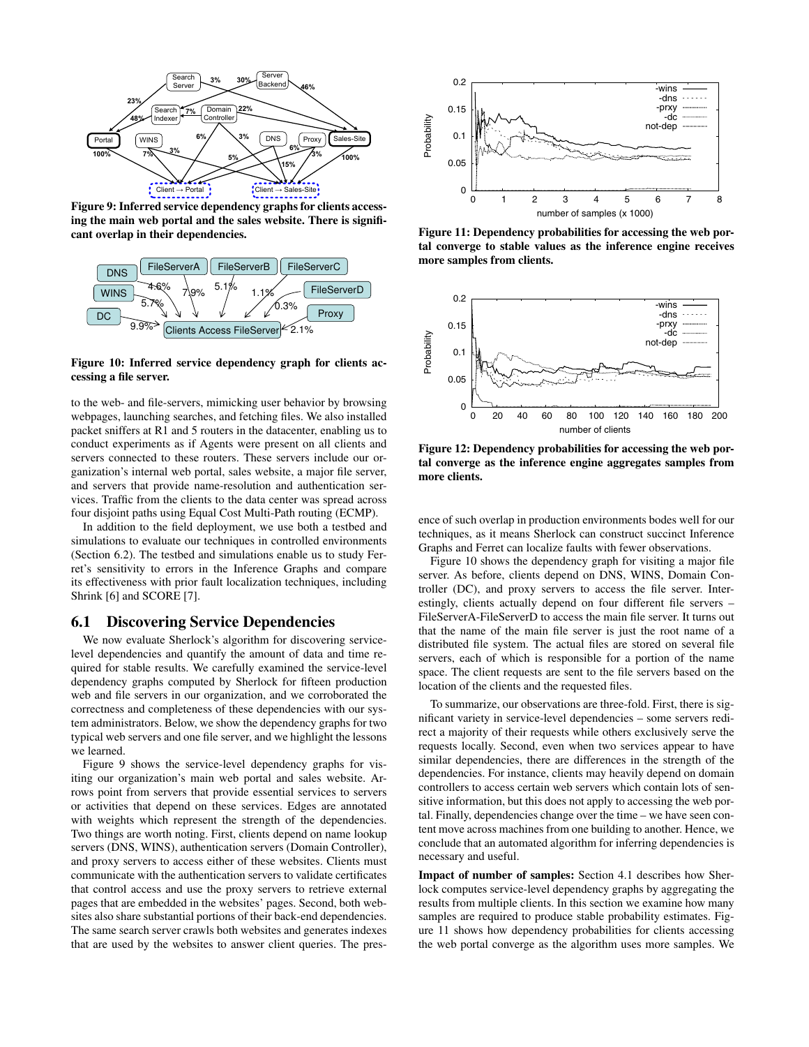

Figure 9: Inferred service dependency graphs for clients accessing the main web portal and the sales website. There is significant overlap in their dependencies.



Figure 10: Inferred service dependency graph for clients accessing a file server.

to the web- and file-servers, mimicking user behavior by browsing webpages, launching searches, and fetching files. We also installed packet sniffers at R1 and 5 routers in the datacenter, enabling us to conduct experiments as if Agents were present on all clients and servers connected to these routers. These servers include our organization's internal web portal, sales website, a major file server, and servers that provide name-resolution and authentication services. Traffic from the clients to the data center was spread across four disjoint paths using Equal Cost Multi-Path routing (ECMP).

In addition to the field deployment, we use both a testbed and simulations to evaluate our techniques in controlled environments (Section 6.2). The testbed and simulations enable us to study Ferret's sensitivity to errors in the Inference Graphs and compare its effectiveness with prior fault localization techniques, including Shrink [6] and SCORE [7].

## 6.1 Discovering Service Dependencies

We now evaluate Sherlock's algorithm for discovering servicelevel dependencies and quantify the amount of data and time required for stable results. We carefully examined the service-level dependency graphs computed by Sherlock for fifteen production web and file servers in our organization, and we corroborated the correctness and completeness of these dependencies with our system administrators. Below, we show the dependency graphs for two typical web servers and one file server, and we highlight the lessons we learned.

Figure 9 shows the service-level dependency graphs for visiting our organization's main web portal and sales website. Arrows point from servers that provide essential services to servers or activities that depend on these services. Edges are annotated with weights which represent the strength of the dependencies. Two things are worth noting. First, clients depend on name lookup servers (DNS, WINS), authentication servers (Domain Controller), and proxy servers to access either of these websites. Clients must communicate with the authentication servers to validate certificates that control access and use the proxy servers to retrieve external pages that are embedded in the websites' pages. Second, both websites also share substantial portions of their back-end dependencies. The same search server crawls both websites and generates indexes that are used by the websites to answer client queries. The pres-



Figure 11: Dependency probabilities for accessing the web portal converge to stable values as the inference engine receives more samples from clients.



Figure 12: Dependency probabilities for accessing the web portal converge as the inference engine aggregates samples from more clients.

ence of such overlap in production environments bodes well for our techniques, as it means Sherlock can construct succinct Inference Graphs and Ferret can localize faults with fewer observations.

Figure 10 shows the dependency graph for visiting a major file server. As before, clients depend on DNS, WINS, Domain Controller (DC), and proxy servers to access the file server. Interestingly, clients actually depend on four different file servers – FileServerA-FileServerD to access the main file server. It turns out that the name of the main file server is just the root name of a distributed file system. The actual files are stored on several file servers, each of which is responsible for a portion of the name space. The client requests are sent to the file servers based on the location of the clients and the requested files.

To summarize, our observations are three-fold. First, there is significant variety in service-level dependencies – some servers redirect a majority of their requests while others exclusively serve the requests locally. Second, even when two services appear to have similar dependencies, there are differences in the strength of the dependencies. For instance, clients may heavily depend on domain controllers to access certain web servers which contain lots of sensitive information, but this does not apply to accessing the web portal. Finally, dependencies change over the time – we have seen content move across machines from one building to another. Hence, we conclude that an automated algorithm for inferring dependencies is necessary and useful.

Impact of number of samples: Section 4.1 describes how Sherlock computes service-level dependency graphs by aggregating the results from multiple clients. In this section we examine how many samples are required to produce stable probability estimates. Figure 11 shows how dependency probabilities for clients accessing the web portal converge as the algorithm uses more samples. We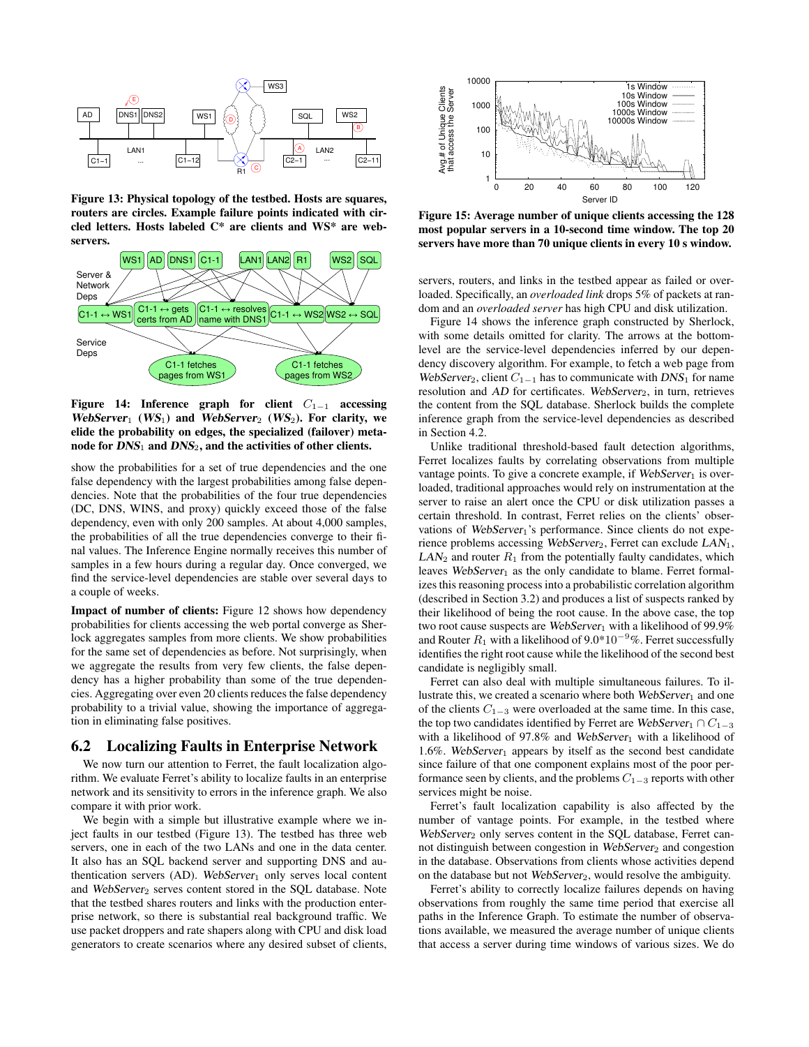

Figure 13: Physical topology of the testbed. Hosts are squares, routers are circles. Example failure points indicated with circled letters. Hosts labeled C\* are clients and WS\* are webservers.



Figure 14: Inference graph for client  $C_{1-1}$  accessing WebServer<sub>1</sub> (WS<sub>1</sub>) and WebServer<sub>2</sub> (WS<sub>2</sub>). For clarity, we elide the probability on edges, the specialized (failover) metanode for  $DNS_1$  and  $DNS_2$ , and the activities of other clients.

show the probabilities for a set of true dependencies and the one false dependency with the largest probabilities among false dependencies. Note that the probabilities of the four true dependencies (DC, DNS, WINS, and proxy) quickly exceed those of the false dependency, even with only 200 samples. At about 4,000 samples, the probabilities of all the true dependencies converge to their final values. The Inference Engine normally receives this number of samples in a few hours during a regular day. Once converged, we find the service-level dependencies are stable over several days to a couple of weeks.

Impact of number of clients: Figure 12 shows how dependency probabilities for clients accessing the web portal converge as Sherlock aggregates samples from more clients. We show probabilities for the same set of dependencies as before. Not surprisingly, when we aggregate the results from very few clients, the false dependency has a higher probability than some of the true dependencies. Aggregating over even 20 clients reduces the false dependency probability to a trivial value, showing the importance of aggregation in eliminating false positives.

### 6.2 Localizing Faults in Enterprise Network

We now turn our attention to Ferret, the fault localization algorithm. We evaluate Ferret's ability to localize faults in an enterprise network and its sensitivity to errors in the inference graph. We also compare it with prior work.

We begin with a simple but illustrative example where we inject faults in our testbed (Figure 13). The testbed has three web servers, one in each of the two LANs and one in the data center. It also has an SQL backend server and supporting DNS and authentication servers  $(AD)$ . WebServer<sub>1</sub> only serves local content and WebServer<sub>2</sub> serves content stored in the SQL database. Note that the testbed shares routers and links with the production enterprise network, so there is substantial real background traffic. We use packet droppers and rate shapers along with CPU and disk load generators to create scenarios where any desired subset of clients,



Figure 15: Average number of unique clients accessing the 128 most popular servers in a 10-second time window. The top 20 servers have more than 70 unique clients in every 10 s window.

servers, routers, and links in the testbed appear as failed or overloaded. Specifically, an *overloaded link* drops 5% of packets at random and an *overloaded server* has high CPU and disk utilization.

Figure 14 shows the inference graph constructed by Sherlock, with some details omitted for clarity. The arrows at the bottomlevel are the service-level dependencies inferred by our dependency discovery algorithm. For example, to fetch a web page from WebServer<sub>2</sub>, client  $C_{1-1}$  has to communicate with DNS<sub>1</sub> for name resolution and  $AD$  for certificates. WebServer<sub>2</sub>, in turn, retrieves the content from the SQL database. Sherlock builds the complete inference graph from the service-level dependencies as described in Section 4.2.

Unlike traditional threshold-based fault detection algorithms, Ferret localizes faults by correlating observations from multiple vantage points. To give a concrete example, if  $WebServer_1$  is overloaded, traditional approaches would rely on instrumentation at the server to raise an alert once the CPU or disk utilization passes a certain threshold. In contrast, Ferret relies on the clients' observations of  $WebServer_1$ 's performance. Since clients do not experience problems accessing WebServer<sub>2</sub>, Ferret can exclude LAN<sub>1</sub>,  $LAN<sub>2</sub>$  and router  $R<sub>1</sub>$  from the potentially faulty candidates, which leaves  $WebServer_1$  as the only candidate to blame. Ferret formalizes this reasoning process into a probabilistic correlation algorithm (described in Section 3.2) and produces a list of suspects ranked by their likelihood of being the root cause. In the above case, the top two root cause suspects are WebServer<sub>1</sub> with a likelihood of 99.9% and Router  $R_1$  with a likelihood of 9.0\*10<sup>-9</sup>%. Ferret successfully identifies the right root cause while the likelihood of the second best candidate is negligibly small.

Ferret can also deal with multiple simultaneous failures. To illustrate this, we created a scenario where both WebServer<sub>1</sub> and one of the clients <sup>C</sup><sup>1</sup>−<sup>3</sup> were overloaded at the same time. In this case, the top two candidates identified by Ferret are WebServer<sub>1</sub> ∩  $C_{1-3}$ with a likelihood of 97.8% and WebServer<sub>1</sub> with a likelihood of 1.6%. WebServer<sub>1</sub> appears by itself as the second best candidate since failure of that one component explains most of the poor performance seen by clients, and the problems  $C_{1-3}$  reports with other services might be noise.

Ferret's fault localization capability is also affected by the number of vantage points. For example, in the testbed where WebServer<sub>2</sub> only serves content in the SQL database, Ferret cannot distinguish between congestion in WebServer<sub>2</sub> and congestion in the database. Observations from clients whose activities depend on the database but not  $WebServer_2$ , would resolve the ambiguity.

Ferret's ability to correctly localize failures depends on having observations from roughly the same time period that exercise all paths in the Inference Graph. To estimate the number of observations available, we measured the average number of unique clients that access a server during time windows of various sizes. We do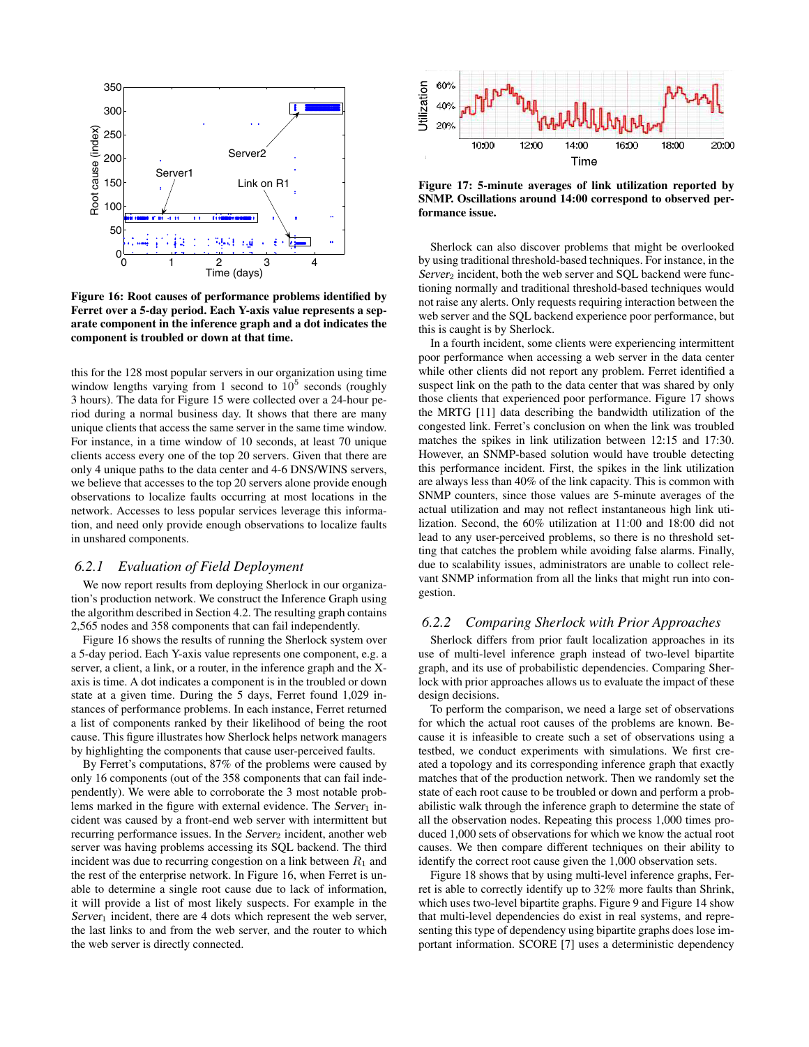

Figure 16: Root causes of performance problems identified by Ferret over a 5-day period. Each Y-axis value represents a separate component in the inference graph and a dot indicates the component is troubled or down at that time.

this for the 128 most popular servers in our organization using time window lengths varying from 1 second to  $10<sup>5</sup>$  seconds (roughly 3 hours). The data for Figure 15 were collected over a 24-hour period during a normal business day. It shows that there are many unique clients that access the same server in the same time window. For instance, in a time window of 10 seconds, at least 70 unique clients access every one of the top 20 servers. Given that there are only 4 unique paths to the data center and 4-6 DNS/WINS servers, we believe that accesses to the top 20 servers alone provide enough observations to localize faults occurring at most locations in the network. Accesses to less popular services leverage this information, and need only provide enough observations to localize faults in unshared components.

#### *6.2.1 Evaluation of Field Deployment*

We now report results from deploying Sherlock in our organization's production network. We construct the Inference Graph using the algorithm described in Section 4.2. The resulting graph contains 2,565 nodes and 358 components that can fail independently.

Figure 16 shows the results of running the Sherlock system over a 5-day period. Each Y-axis value represents one component, e.g. a server, a client, a link, or a router, in the inference graph and the Xaxis is time. A dot indicates a component is in the troubled or down state at a given time. During the 5 days, Ferret found 1,029 instances of performance problems. In each instance, Ferret returned a list of components ranked by their likelihood of being the root cause. This figure illustrates how Sherlock helps network managers by highlighting the components that cause user-perceived faults.

By Ferret's computations, 87% of the problems were caused by only 16 components (out of the 358 components that can fail independently). We were able to corroborate the 3 most notable problems marked in the figure with external evidence. The  $Server_1$  incident was caused by a front-end web server with intermittent but recurring performance issues. In the Server<sub>2</sub> incident, another web server was having problems accessing its SQL backend. The third incident was due to recurring congestion on a link between  $R_1$  and the rest of the enterprise network. In Figure 16, when Ferret is unable to determine a single root cause due to lack of information, it will provide a list of most likely suspects. For example in the  $Server<sub>1</sub> incident, there are 4 dots which represent the web server,$ the last links to and from the web server, and the router to which the web server is directly connected.



Figure 17: 5-minute averages of link utilization reported by SNMP. Oscillations around 14:00 correspond to observed performance issue.

Sherlock can also discover problems that might be overlooked by using traditional threshold-based techniques. For instance, in the  $Server_2$  incident, both the web server and SQL backend were functioning normally and traditional threshold-based techniques would not raise any alerts. Only requests requiring interaction between the web server and the SQL backend experience poor performance, but this is caught is by Sherlock.

In a fourth incident, some clients were experiencing intermittent poor performance when accessing a web server in the data center while other clients did not report any problem. Ferret identified a suspect link on the path to the data center that was shared by only those clients that experienced poor performance. Figure 17 shows the MRTG [11] data describing the bandwidth utilization of the congested link. Ferret's conclusion on when the link was troubled matches the spikes in link utilization between 12:15 and 17:30. However, an SNMP-based solution would have trouble detecting this performance incident. First, the spikes in the link utilization are always less than 40% of the link capacity. This is common with SNMP counters, since those values are 5-minute averages of the actual utilization and may not reflect instantaneous high link utilization. Second, the 60% utilization at 11:00 and 18:00 did not lead to any user-perceived problems, so there is no threshold setting that catches the problem while avoiding false alarms. Finally, due to scalability issues, administrators are unable to collect relevant SNMP information from all the links that might run into congestion.

#### *6.2.2 Comparing Sherlock with Prior Approaches*

Sherlock differs from prior fault localization approaches in its use of multi-level inference graph instead of two-level bipartite graph, and its use of probabilistic dependencies. Comparing Sherlock with prior approaches allows us to evaluate the impact of these design decisions.

To perform the comparison, we need a large set of observations for which the actual root causes of the problems are known. Because it is infeasible to create such a set of observations using a testbed, we conduct experiments with simulations. We first created a topology and its corresponding inference graph that exactly matches that of the production network. Then we randomly set the state of each root cause to be troubled or down and perform a probabilistic walk through the inference graph to determine the state of all the observation nodes. Repeating this process 1,000 times produced 1,000 sets of observations for which we know the actual root causes. We then compare different techniques on their ability to identify the correct root cause given the 1,000 observation sets.

Figure 18 shows that by using multi-level inference graphs, Ferret is able to correctly identify up to 32% more faults than Shrink, which uses two-level bipartite graphs. Figure 9 and Figure 14 show that multi-level dependencies do exist in real systems, and representing this type of dependency using bipartite graphs does lose important information. SCORE [7] uses a deterministic dependency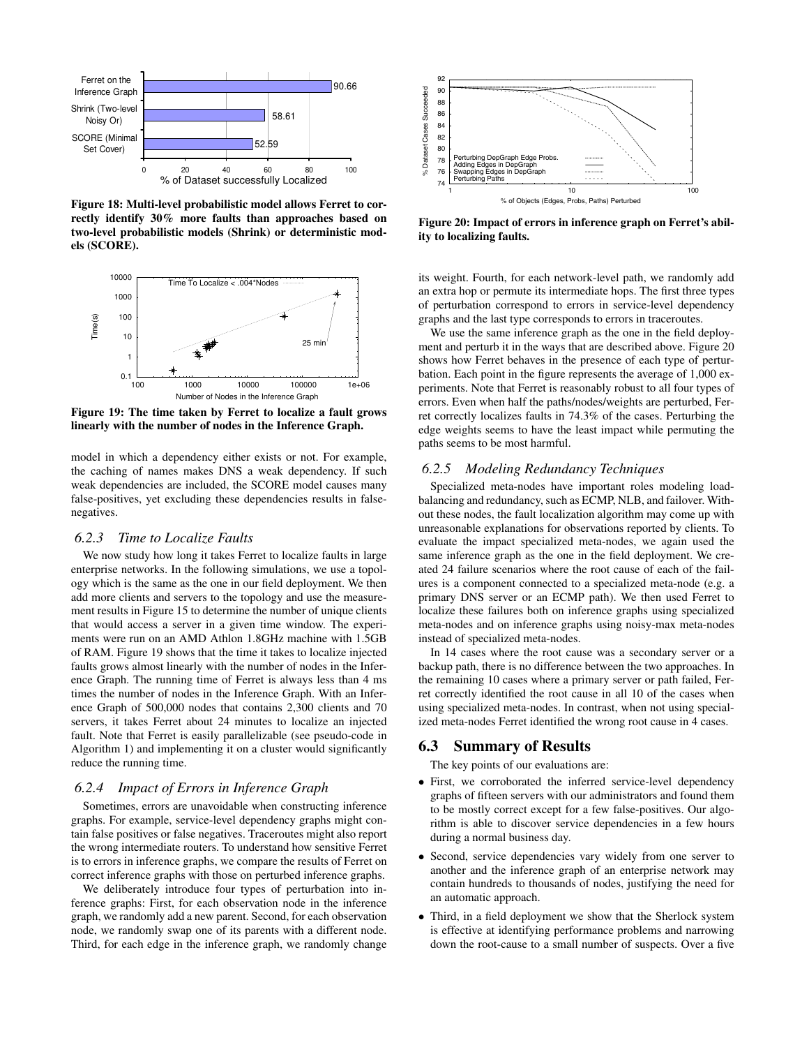

Figure 18: Multi-level probabilistic model allows Ferret to correctly identify 30% more faults than approaches based on two-level probabilistic models (Shrink) or deterministic models (SCORE).



Figure 19: The time taken by Ferret to localize a fault grows linearly with the number of nodes in the Inference Graph.

model in which a dependency either exists or not. For example, the caching of names makes DNS a weak dependency. If such weak dependencies are included, the SCORE model causes many false-positives, yet excluding these dependencies results in falsenegatives.

## *6.2.3 Time to Localize Faults*

We now study how long it takes Ferret to localize faults in large enterprise networks. In the following simulations, we use a topology which is the same as the one in our field deployment. We then add more clients and servers to the topology and use the measurement results in Figure 15 to determine the number of unique clients that would access a server in a given time window. The experiments were run on an AMD Athlon 1.8GHz machine with 1.5GB of RAM. Figure 19 shows that the time it takes to localize injected faults grows almost linearly with the number of nodes in the Inference Graph. The running time of Ferret is always less than 4 ms times the number of nodes in the Inference Graph. With an Inference Graph of 500,000 nodes that contains 2,300 clients and 70 servers, it takes Ferret about 24 minutes to localize an injected fault. Note that Ferret is easily parallelizable (see pseudo-code in Algorithm 1) and implementing it on a cluster would significantly reduce the running time.

#### *6.2.4 Impact of Errors in Inference Graph*

Sometimes, errors are unavoidable when constructing inference graphs. For example, service-level dependency graphs might contain false positives or false negatives. Traceroutes might also report the wrong intermediate routers. To understand how sensitive Ferret is to errors in inference graphs, we compare the results of Ferret on correct inference graphs with those on perturbed inference graphs.

We deliberately introduce four types of perturbation into inference graphs: First, for each observation node in the inference graph, we randomly add a new parent. Second, for each observation node, we randomly swap one of its parents with a different node. Third, for each edge in the inference graph, we randomly change



Figure 20: Impact of errors in inference graph on Ferret's ability to localizing faults.

its weight. Fourth, for each network-level path, we randomly add an extra hop or permute its intermediate hops. The first three types of perturbation correspond to errors in service-level dependency graphs and the last type corresponds to errors in traceroutes.

We use the same inference graph as the one in the field deployment and perturb it in the ways that are described above. Figure 20 shows how Ferret behaves in the presence of each type of perturbation. Each point in the figure represents the average of 1,000 experiments. Note that Ferret is reasonably robust to all four types of errors. Even when half the paths/nodes/weights are perturbed, Ferret correctly localizes faults in 74.3% of the cases. Perturbing the edge weights seems to have the least impact while permuting the paths seems to be most harmful.

#### *6.2.5 Modeling Redundancy Techniques*

Specialized meta-nodes have important roles modeling loadbalancing and redundancy, such as ECMP, NLB, and failover. Without these nodes, the fault localization algorithm may come up with unreasonable explanations for observations reported by clients. To evaluate the impact specialized meta-nodes, we again used the same inference graph as the one in the field deployment. We created 24 failure scenarios where the root cause of each of the failures is a component connected to a specialized meta-node (e.g. a primary DNS server or an ECMP path). We then used Ferret to localize these failures both on inference graphs using specialized meta-nodes and on inference graphs using noisy-max meta-nodes instead of specialized meta-nodes.

In 14 cases where the root cause was a secondary server or a backup path, there is no difference between the two approaches. In the remaining 10 cases where a primary server or path failed, Ferret correctly identified the root cause in all 10 of the cases when using specialized meta-nodes. In contrast, when not using specialized meta-nodes Ferret identified the wrong root cause in 4 cases.

## 6.3 Summary of Results

The key points of our evaluations are:

- First, we corroborated the inferred service-level dependency graphs of fifteen servers with our administrators and found them to be mostly correct except for a few false-positives. Our algorithm is able to discover service dependencies in a few hours during a normal business day.
- Second, service dependencies vary widely from one server to another and the inference graph of an enterprise network may contain hundreds to thousands of nodes, justifying the need for an automatic approach.
- Third, in a field deployment we show that the Sherlock system is effective at identifying performance problems and narrowing down the root-cause to a small number of suspects. Over a five